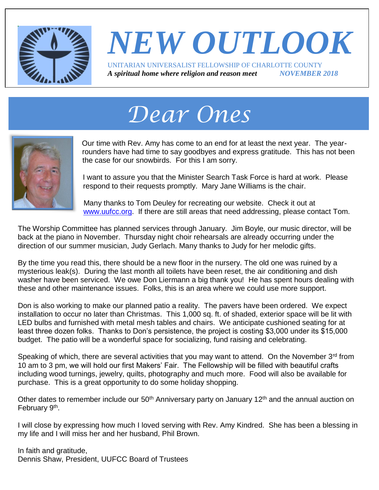

### *NEW OUTLOOK* UNITARIAN UNIVERSALIST FELLOWSHIP OF CHARLOTTE COUNTY *A spiritual home where religion and reason meet NOVEMBER 2018*

# *Dear Ones*



Our time with Rev. Amy has come to an end for at least the next year. The yearrounders have had time to say goodbyes and express gratitude. This has not been the case for our snowbirds. For this I am sorry.

I want to assure you that the Minister Search Task Force is hard at work. Please respond to their requests promptly. Mary Jane Williams is the chair.

Many thanks to Tom Deuley for recreating our website. Check it out at [www.uufcc.org.](http://www.uufcc.org/) If there are still areas that need addressing, please contact Tom.

The Worship Committee has planned services through January. Jim Boyle, our music director, will be back at the piano in November. Thursday night choir rehearsals are already occurring under the direction of our summer musician, Judy Gerlach. Many thanks to Judy for her melodic gifts.

By the time you read this, there should be a new floor in the nursery. The old one was ruined by a mysterious leak(s). During the last month all toilets have been reset, the air conditioning and dish washer have been serviced. We owe Don Liermann a big thank you! He has spent hours dealing with these and other maintenance issues. Folks, this is an area where we could use more support.

Don is also working to make our planned patio a reality. The pavers have been ordered. We expect installation to occur no later than Christmas. This 1,000 sq. ft. of shaded, exterior space will be lit with LED bulbs and furnished with metal mesh tables and chairs. We anticipate cushioned seating for at least three dozen folks. Thanks to Don's persistence, the project is costing \$3,000 under its \$15,000 budget. The patio will be a wonderful space for socializing, fund raising and celebrating.

Speaking of which, there are several activities that you may want to attend. On the November  $3<sup>rd</sup>$  from 10 am to 3 pm, we will hold our first Makers' Fair. The Fellowship will be filled with beautiful crafts including wood turnings, jewelry, quilts, photography and much more. Food will also be available for purchase. This is a great opportunity to do some holiday shopping.

Other dates to remember include our 50<sup>th</sup> Anniversary party on January 12<sup>th</sup> and the annual auction on February 9<sup>th</sup>.

I will close by expressing how much I loved serving with Rev. Amy Kindred. She has been a blessing in my life and I will miss her and her husband, Phil Brown.

In faith and gratitude, Dennis Shaw, President, UUFCC Board of Trustees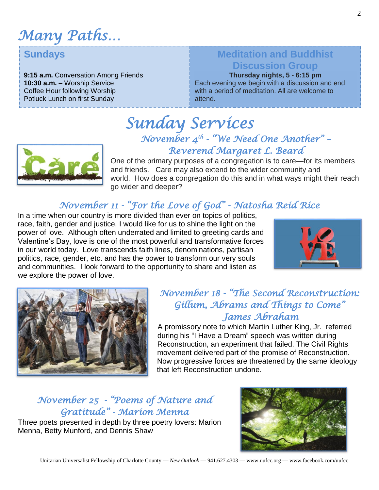*Many Paths…*

#### **Sundays**

**9:15 a.m.** Conversation Among Friends **10:30 a.m.** – Worship Service Coffee Hour following Worship Potluck Lunch on first Sunday

#### **Meditation and Buddhist Discussion Group**

**Thursday nights, 5 - 6:15 pm** Each evening we begin with a discussion and end with a period of meditation. All are welcome to attend.



### *Sunday Services November 4 th - "We Need One Another" – Reverend Margaret L. Beard*

One of the primary purposes of a congregation is to care—for its members and friends. Care may also extend to the wider community and world. How does a congregation do this and in what ways might their reach go wider and deeper?

### *November 11 - "For the Love of God" - Natosha Reid Rice*

In a time when our country is more divided than ever on topics of politics, race, faith, gender and justice, I would like for us to shine the light on the power of love. Although often underrated and limited to greeting cards and Valentine's Day, love is one of the most powerful and transformative forces in our world today. Love transcends faith lines, denominations, partisan politics, race, gender, etc. and has the power to transform our very souls and communities. I look forward to the opportunity to share and listen as we explore the power of love.





#### *November 18 - "The Second Reconstruction: Gillum, Abrams and Things to Come" James Abraham*

A promissory note to which Martin Luther King, Jr. referred during his "I Have a Dream" speech was written during Reconstruction, an experiment that failed. The Civil Rights movement delivered part of the promise of Reconstruction. Now progressive forces are threatened by the same ideology that left Reconstruction undone.

### *November 25 - "Poems of Nature and Gratitude" - Marion Menna*

Three poets presented in depth by three poetry lovers: Marion Menna, Betty Munford, and Dennis Shaw

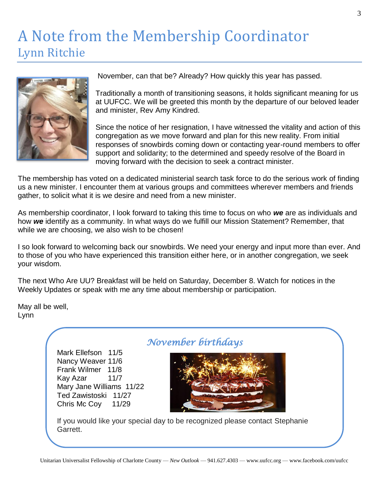### A Note from the Membership Coordinator Lynn Ritchie



November, can that be? Already? How quickly this year has passed.

Traditionally a month of transitioning seasons, it holds significant meaning for us at UUFCC. We will be greeted this month by the departure of our beloved leader and minister, Rev Amy Kindred.

Since the notice of her resignation, I have witnessed the vitality and action of this congregation as we move forward and plan for this new reality. From initial responses of snowbirds coming down or contacting year-round members to offer support and solidarity; to the determined and speedy resolve of the Board in moving forward with the decision to seek a contract minister.

The membership has voted on a dedicated ministerial search task force to do the serious work of finding us a new minister. I encounter them at various groups and committees wherever members and friends gather, to solicit what it is we desire and need from a new minister.

As membership coordinator, I look forward to taking this time to focus on who *we* are as individuals and how *we* identify as a community. In what ways do we fulfill our Mission Statement? Remember, that while we are choosing, we also wish to be chosen!

I so look forward to welcoming back our snowbirds. We need your energy and input more than ever. And to those of you who have experienced this transition either here, or in another congregation, we seek your wisdom.

The next Who Are UU? Breakfast will be held on Saturday, December 8. Watch for notices in the Weekly Updates or speak with me any time about membership or participation.

May all be well, Lynn

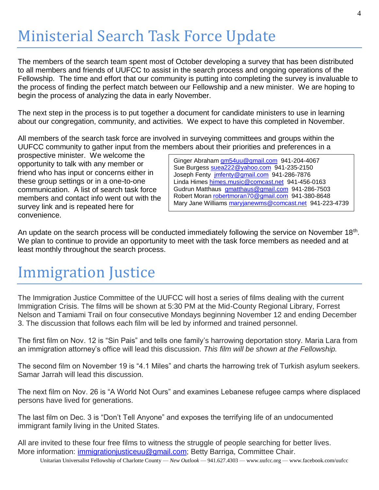# Ministerial Search Task Force Update

The members of the search team spent most of October developing a survey that has been distributed to all members and friends of UUFCC to assist in the search process and ongoing operations of the Fellowship. The time and effort that our community is putting into completing the survey is invaluable to the process of finding the perfect match between our Fellowship and a new minister. We are hoping to begin the process of analyzing the data in early November.

The next step in the process is to put together a document for candidate ministers to use in learning about our congregation, community, and activities. We expect to have this completed in November.

All members of the search task force are involved in surveying committees and groups within the UUFCC community to gather input from the members about their priorities and preferences in a

prospective minister. We welcome the opportunity to talk with any member or friend who has input or concerns either in these group settings or in a one-to-one communication. A list of search task force members and contact info went out with the survey link and is repeated here for convenience.

Ginger Abraham [gm54uu@gmail.com](mailto:gm54uu@gmail.com) 941-204-4067 Sue Burgess [suea222@yahoo.com](mailto:suea222@yahoo.com) 941-235-2150 Joseph Fenty [jmfenty@gmail.com](mailto:jmfenty@gmail.com) 941-286-7876 Linda Himes [himes.music@comcast.net](mailto:himes.music@comcast.net) 941-456-0163 Gudrun Matthaus [gmatthaus@gmail.com](mailto:gmatthaus@gmail.com) 941-286-7503 Robert Moran [robertmoran70@gmail.com](mailto:robertmoran70@gmail.com) 941-380-8648 Mary Jane Williams [maryjanewms@comcast.net](mailto:maryjanewms@comcast.net) 941-223-4739

An update on the search process will be conducted immediately following the service on November 18<sup>th</sup>. We plan to continue to provide an opportunity to meet with the task force members as needed and at least monthly throughout the search process.

# Immigration Justice

The Immigration Justice Committee of the UUFCC will host a series of films dealing with the current Immigration Crisis. The films will be shown at 5:30 PM at the Mid-County Regional Library, Forrest Nelson and Tamiami Trail on four consecutive Mondays beginning November 12 and ending December 3. The discussion that follows each film will be led by informed and trained personnel.

The first film on Nov. 12 is "Sin Pais" and tells one family's harrowing deportation story. Maria Lara from an immigration attorney's office will lead this discussion. *This film will be shown at the Fellowship.*

The second film on November 19 is "4.1 Miles" and charts the harrowing trek of Turkish asylum seekers. Samar Jarrah will lead this discussion.

The next film on Nov. 26 is "A World Not Ours" and examines Lebanese refugee camps where displaced persons have lived for generations.

The last film on Dec. 3 is "Don't Tell Anyone" and exposes the terrifying life of an undocumented immigrant family living in the United States.

All are invited to these four free films to witness the struggle of people searching for better lives. More information: *immigrationjusticeuu@gmail.com*; Betty Barriga, Committee Chair.

Unitarian Universalist Fellowship of Charlotte County — *New Outlook* — 941.627.4303 — www.uufcc.org — www.facebook.com/uufcc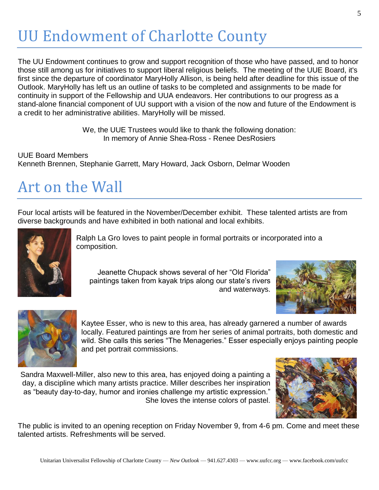# UU Endowment of Charlotte County

The UU Endowment continues to grow and support recognition of those who have passed, and to honor those still among us for initiatives to support liberal religious beliefs. The meeting of the UUE Board, it's first since the departure of coordinator MaryHolly Allison, is being held after deadline for this issue of the Outlook. MaryHolly has left us an outline of tasks to be completed and assignments to be made for continuity in support of the Fellowship and UUA endeavors. Her contributions to our progress as a stand-alone financial component of UU support with a vision of the now and future of the Endowment is a credit to her administrative abilities. MaryHolly will be missed.

> We, the UUE Trustees would like to thank the following donation: In memory of Annie Shea-Ross - Renee DesRosiers

UUE Board Members Kenneth Brennen, Stephanie Garrett, Mary Howard, Jack Osborn, Delmar Wooden

## Art on the Wall

Four local artists will be featured in the November/December exhibit. These talented artists are from diverse backgrounds and have exhibited in both national and local exhibits.



Ralph La Gro loves to paint people in formal portraits or incorporated into a composition.

Jeanette Chupack shows several of her "Old Florida" paintings taken from kayak trips along our state's rivers and waterways.





Kaytee Esser, who is new to this area, has already garnered a number of awards locally. Featured paintings are from her series of animal portraits, both domestic and wild. She calls this series "The Menageries." Esser especially enjoys painting people and pet portrait commissions.

Sandra Maxwell-Miller, also new to this area, has enjoyed doing a painting a day, a discipline which many artists practice. Miller describes her inspiration as "beauty day-to-day, humor and ironies challenge my artistic expression." She loves the intense colors of pastel.



The public is invited to an opening reception on Friday November 9, from 4-6 pm. Come and meet these talented artists. Refreshments will be served.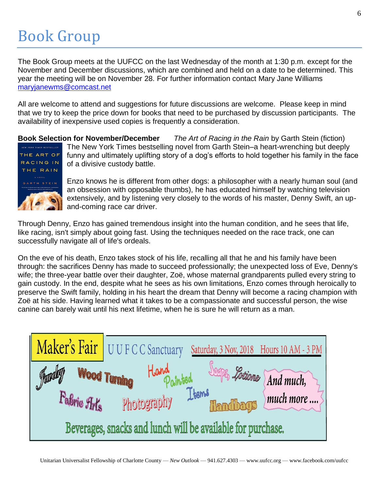# Book Group

The Book Group meets at the UUFCC on the last Wednesday of the month at 1:30 p.m. except for the November and December discussions, which are combined and held on a date to be determined. This year the meeting will be on November 28. For further information contact Mary Jane Williams [maryjanewms@comcast.net](mailto:maryjanewms@comcast.net)

All are welcome to attend and suggestions for future discussions are welcome. Please keep in mind that we try to keep the price down for books that need to be purchased by discussion participants. The availability of inexpensive used copies is frequently a consideration.

**Book Selection for November/December** *The Art of Racing in the Rain* by Garth Stein (fiction) The New York Times bestselling novel from Garth Stein–a heart-wrenching but deeply funny and ultimately uplifting story of a dog's efforts to hold together his family in the face THE ART OF RACING IN of a divisive custody battle. THE RAIN ANOVEL Enzo knows he is different from other dogs: a philosopher with a nearly human soul (and ARTH STEIN an obsession with opposable thumbs), he has educated himself by watching television

extensively, and by listening very closely to the words of his master, Denny Swift, an upand-coming race car driver.

Through Denny, Enzo has gained tremendous insight into the human condition, and he sees that life, like racing, isn't simply about going fast. Using the techniques needed on the race track, one can successfully navigate all of life's ordeals.

On the eve of his death, Enzo takes stock of his life, recalling all that he and his family have been through: the sacrifices Denny has made to succeed professionally; the unexpected loss of Eve, Denny's wife; the three-year battle over their daughter, Zoë, whose maternal grandparents pulled every string to gain custody. In the end, despite what he sees as his own limitations, Enzo comes through heroically to preserve the Swift family, holding in his heart the dream that Denny will become a racing champion with Zoë at his side. Having learned what it takes to be a compassionate and successful person, the wise canine can barely wait until his next lifetime, when he is sure he will return as a man.

|                                                             | Maker's Fair UUFCC Sanctuary  | Saturday, 3 Nov, 2018 Hours 10 AM - 3 PM |                          |
|-------------------------------------------------------------|-------------------------------|------------------------------------------|--------------------------|
| Jewday                                                      | Hard Paintsed<br>Wood Turning |                                          | Soaps, Lotions And much, |
| Fabric Arts                                                 | Photography                   | Items<br>Thandbags                       | much more                |
| Beverages, snacks and lunch will be available for purchase. |                               |                                          |                          |